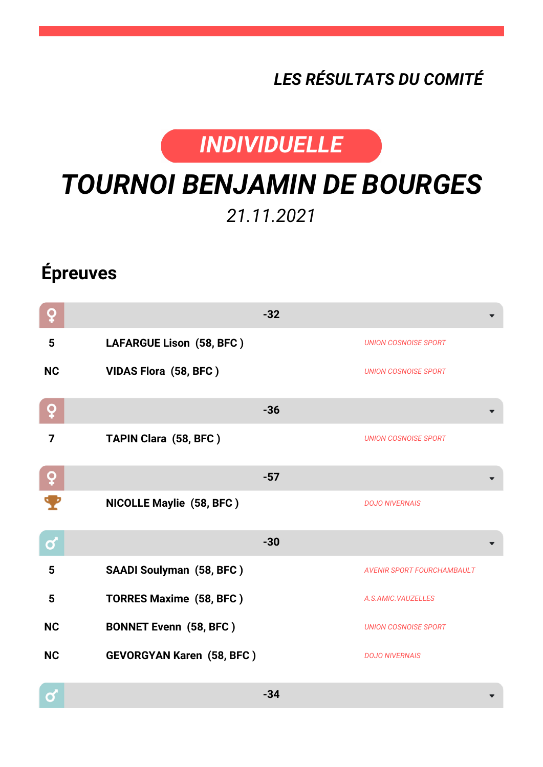## *LES RÉSULTATS DU COMITÉ*



## *TOURNOI BENJAMIN DE BOURGES*

*21.11.2021*

## **Épreuves**

 $\mathbf{\Omega}$ 

| O            |                                  | $-32$                             |
|--------------|----------------------------------|-----------------------------------|
| 5            | LAFARGUE Lison (58, BFC)         | <b>UNION COSNOISE SPORT</b>       |
| <b>NC</b>    | VIDAS Flora (58, BFC)            | <b>UNION COSNOISE SPORT</b>       |
| Q            |                                  | $-36$                             |
| 7            | TAPIN Clara (58, BFC)            | <b>UNION COSNOISE SPORT</b>       |
| ò            |                                  | $-57$                             |
|              | <b>NICOLLE Maylie (58, BFC)</b>  | <b>DOJO NIVERNAIS</b>             |
| $\mathbf{Q}$ |                                  | $-30$                             |
| 5            | <b>SAADI Soulyman (58, BFC)</b>  | <b>AVENIR SPORT FOURCHAMBAULT</b> |
| 5            | <b>TORRES Maxime (58, BFC)</b>   | A.S.AMIC.VAUZELLES                |
| <b>NC</b>    | <b>BONNET Evenn (58, BFC)</b>    | <b>UNION COSNOISE SPORT</b>       |
| <b>NC</b>    | <b>GEVORGYAN Karen (58, BFC)</b> | <b>DOJO NIVERNAIS</b>             |
| ്            |                                  | $-34$                             |